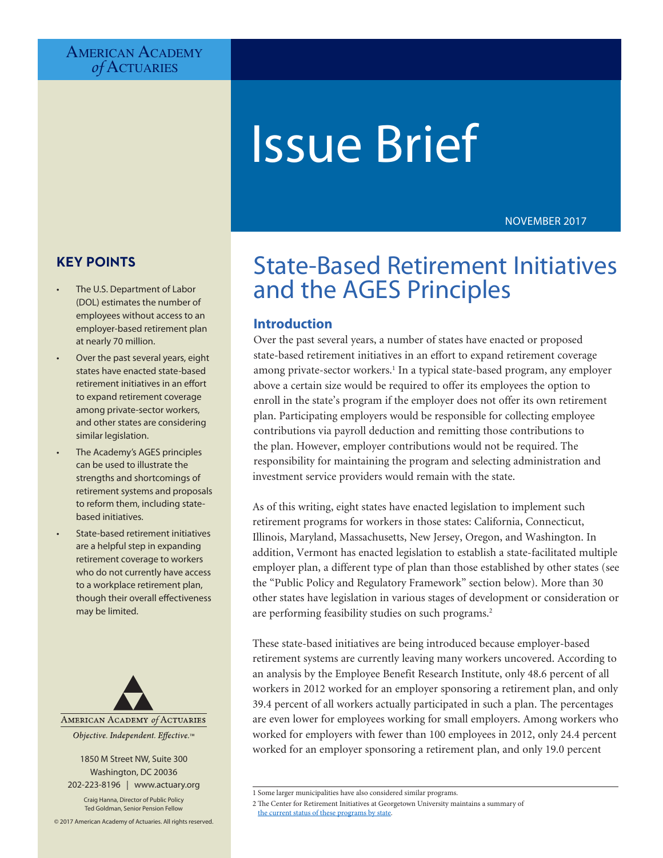# AMERICAN ACADEMY *of* Actuaries

# Issue Brief

NOVEMBER 2017

# **KEY POINTS**

- The U.S. Department of Labor (DOL) estimates the number of employees without access to an employer-based retirement plan at nearly 70 million.
- Over the past several years, eight states have enacted state-based retirement initiatives in an effort to expand retirement coverage among private-sector workers, and other states are considering similar legislation.
- The Academy's AGES principles can be used to illustrate the strengths and shortcomings of retirement systems and proposals to reform them, including statebased initiatives.
- State-based retirement initiatives are a helpful step in expanding retirement coverage to workers who do not currently have access to a workplace retirement plan, though their overall effectiveness may be limited.



#### 1850 M Street NW, Suite 300 Washington, DC 20036 202-223-8196 | [www.actuary.org](http://www.actuary.org)

Craig Hanna, Director of Public Policy Ted Goldman, Senior Pension Fellow

© 2017 American Academy of Actuaries. All rights reserved.

# State-Based Retirement Initiatives and the AGES Principles

### **Introduction**

Over the past several years, a number of states have enacted or proposed state-based retirement initiatives in an effort to expand retirement coverage among private-sector workers.<sup>1</sup> In a typical state-based program, any employer above a certain size would be required to offer its employees the option to enroll in the state's program if the employer does not offer its own retirement plan. Participating employers would be responsible for collecting employee contributions via payroll deduction and remitting those contributions to the plan. However, employer contributions would not be required. The responsibility for maintaining the program and selecting administration and investment service providers would remain with the state.

As of this writing, eight states have enacted legislation to implement such retirement programs for workers in those states: California, Connecticut, Illinois, Maryland, Massachusetts, New Jersey, Oregon, and Washington. In addition, Vermont has enacted legislation to establish a state-facilitated multiple employer plan, a different type of plan than those established by other states (see the "Public Policy and Regulatory Framework" section below). More than 30 other states have legislation in various stages of development or consideration or are performing feasibility studies on such programs.<sup>2</sup>

These state-based initiatives are being introduced because employer-based retirement systems are currently leaving many workers uncovered. According to an analysis by the Employee Benefit Research Institute, only 48.6 percent of all workers in 2012 worked for an employer sponsoring a retirement plan, and only 39.4 percent of all workers actually participated in such a plan. The percentages are even lower for employees working for small employers. Among workers who worked for employers with fewer than 100 employees in 2012, only 24.4 percent worked for an employer sponsoring a retirement plan, and only 19.0 percent

[the current status of these programs by state](http://cri.georgetown.edu/states/).

<sup>1</sup> Some larger municipalities have also considered similar programs.

<sup>2</sup> The Center for Retirement Initiatives at Georgetown University maintains a summary of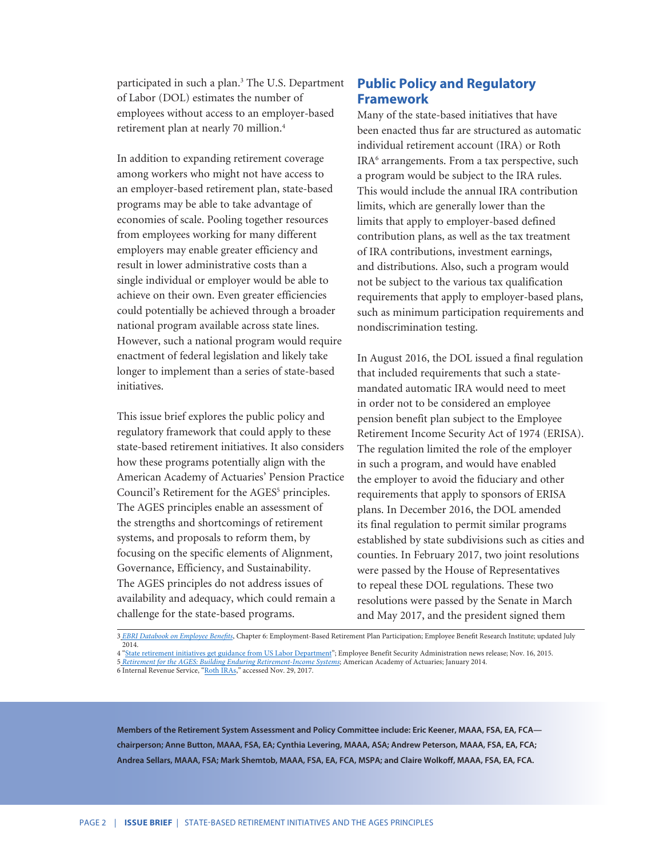participated in such a plan.<sup>3</sup> The U.S. Department of Labor (DOL) estimates the number of employees without access to an employer-based retirement plan at nearly 70 million.<sup>4</sup>

In addition to expanding retirement coverage among workers who might not have access to an employer-based retirement plan, state-based programs may be able to take advantage of economies of scale. Pooling together resources from employees working for many different employers may enable greater efficiency and result in lower administrative costs than a single individual or employer would be able to achieve on their own. Even greater efficiencies could potentially be achieved through a broader national program available across state lines. However, such a national program would require enactment of federal legislation and likely take longer to implement than a series of state-based initiatives.

This issue brief explores the public policy and regulatory framework that could apply to these state-based retirement initiatives. It also considers how these programs potentially align with the American Academy of Actuaries' Pension Practice Council's Retirement for the AGES<sup>5</sup> principles. The AGES principles enable an assessment of the strengths and shortcomings of retirement systems, and proposals to reform them, by focusing on the specific elements of Alignment, Governance, Efficiency, and Sustainability. The AGES principles do not address issues of availability and adequacy, which could remain a challenge for the state-based programs.

# **Public Policy and Regulatory Framework**

Many of the state-based initiatives that have been enacted thus far are structured as automatic individual retirement account (IRA) or Roth IRA<sup>6</sup> arrangements. From a tax perspective, such a program would be subject to the IRA rules. This would include the annual IRA contribution limits, which are generally lower than the limits that apply to employer-based defined contribution plans, as well as the tax treatment of IRA contributions, investment earnings, and distributions. Also, such a program would not be subject to the various tax qualification requirements that apply to employer-based plans, such as minimum participation requirements and nondiscrimination testing.

In August 2016, the DOL issued a final regulation that included requirements that such a statemandated automatic IRA would need to meet in order not to be considered an employee pension benefit plan subject to the Employee Retirement Income Security Act of 1974 (ERISA). The regulation limited the role of the employer in such a program, and would have enabled the employer to avoid the fiduciary and other requirements that apply to sponsors of ERISA plans. In December 2016, the DOL amended its final regulation to permit similar programs established by state subdivisions such as cities and counties. In February 2017, two joint resolutions were passed by the House of Representatives to repeal these DOL regulations. These two resolutions were passed by the Senate in March and May 2017, and the president signed them

**Members of the Retirement System Assessment and Policy Committee include: Eric Keener, MAAA, FSA, EA, FCA chairperson; Anne Button, MAAA, FSA, EA; Cynthia Levering, MAAA, ASA; Andrew Peterson, MAAA, FSA, EA, FCA; Andrea Sellars, MAAA, FSA; Mark Shemtob, MAAA, FSA, EA, FCA, MSPA; and Claire Wolkoff, MAAA, FSA, EA, FCA.**

<sup>3</sup> *[EBRI Databook on Employee Benefits](https://www.ebri.org/pdf/publications/books/databook/DB.Chapter%2006.pdf)*, Chapter 6: Employment-Based Retirement Plan Participation; Employee Benefit Research Institute; updated July 2014.

<sup>4 &</sup>quot;[State retirement initiatives get guidance from US Labor Department](https://www.dol.gov/opa/media/press/ebsa/EBSA20152218.htm)"; Employee Benefit Security Administration news release; Nov. 16, 2015. 5 *[Retirement for the AGES: Building Enduring Retirement-Income System](http://www.actuary.org/files/PPC-Forward_AGES-Monograph_01-16-14.pdf)s*; American Academy of Actuaries; January 2014. 6 Internal Revenue Service, "[Roth IRAs](https://www.irs.gov/retirement-plans/roth-iras)," accessed Nov. 29, 2017.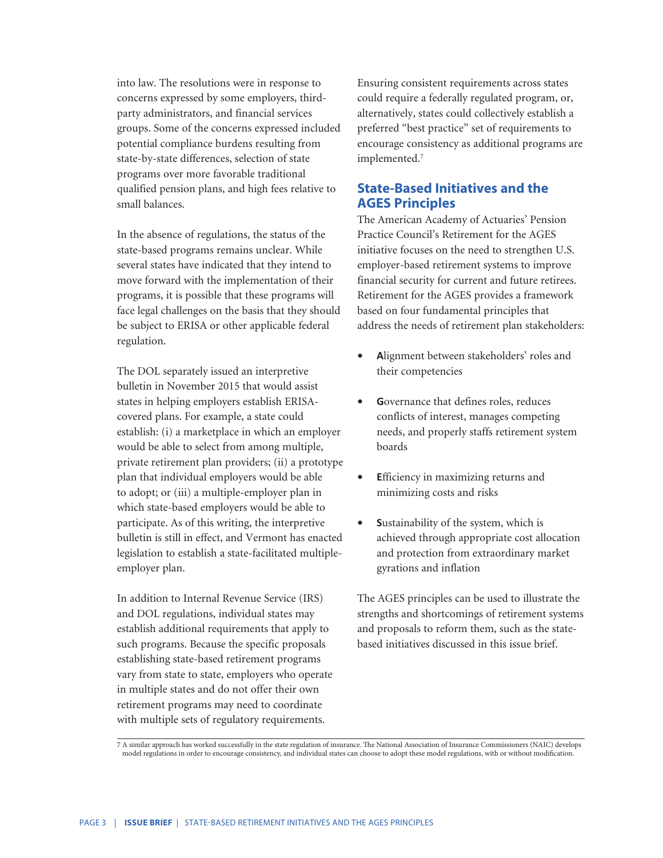into law. The resolutions were in response to concerns expressed by some employers, thirdparty administrators, and financial services groups. Some of the concerns expressed included potential compliance burdens resulting from state-by-state differences, selection of state programs over more favorable traditional qualified pension plans, and high fees relative to small balances.

In the absence of regulations, the status of the state-based programs remains unclear. While several states have indicated that they intend to move forward with the implementation of their programs, it is possible that these programs will face legal challenges on the basis that they should be subject to ERISA or other applicable federal regulation.

The DOL separately issued an interpretive bulletin in November 2015 that would assist states in helping employers establish ERISAcovered plans. For example, a state could establish: (i) a marketplace in which an employer would be able to select from among multiple, private retirement plan providers; (ii) a prototype plan that individual employers would be able to adopt; or (iii) a multiple-employer plan in which state-based employers would be able to participate. As of this writing, the interpretive bulletin is still in effect, and Vermont has enacted legislation to establish a state-facilitated multipleemployer plan.

In addition to Internal Revenue Service (IRS) and DOL regulations, individual states may establish additional requirements that apply to such programs. Because the specific proposals establishing state-based retirement programs vary from state to state, employers who operate in multiple states and do not offer their own retirement programs may need to coordinate with multiple sets of regulatory requirements.

Ensuring consistent requirements across states could require a federally regulated program, or, alternatively, states could collectively establish a preferred "best practice" set of requirements to encourage consistency as additional programs are implemented.<sup>7</sup>

## **State-Based Initiatives and the AGES Principles**

The American Academy of Actuaries' Pension Practice Council's Retirement for the AGES initiative focuses on the need to strengthen U.S. employer-based retirement systems to improve financial security for current and future retirees. Retirement for the AGES provides a framework based on four fundamental principles that address the needs of retirement plan stakeholders:

- **• A**lignment between stakeholders' roles and their competencies
- **• G**overnance that defines roles, reduces conflicts of interest, manages competing needs, and properly staffs retirement system boards
- **• E**fficiency in maximizing returns and minimizing costs and risks
- **• S**ustainability of the system, which is achieved through appropriate cost allocation and protection from extraordinary market gyrations and inflation

The AGES principles can be used to illustrate the strengths and shortcomings of retirement systems and proposals to reform them, such as the statebased initiatives discussed in this issue brief.

7 A similar approach has worked successfully in the state regulation of insurance. The National Association of Insurance Commissioners (NAIC) develops model regulations in order to encourage consistency, and individual states can choose to adopt these model regulations, with or without modification.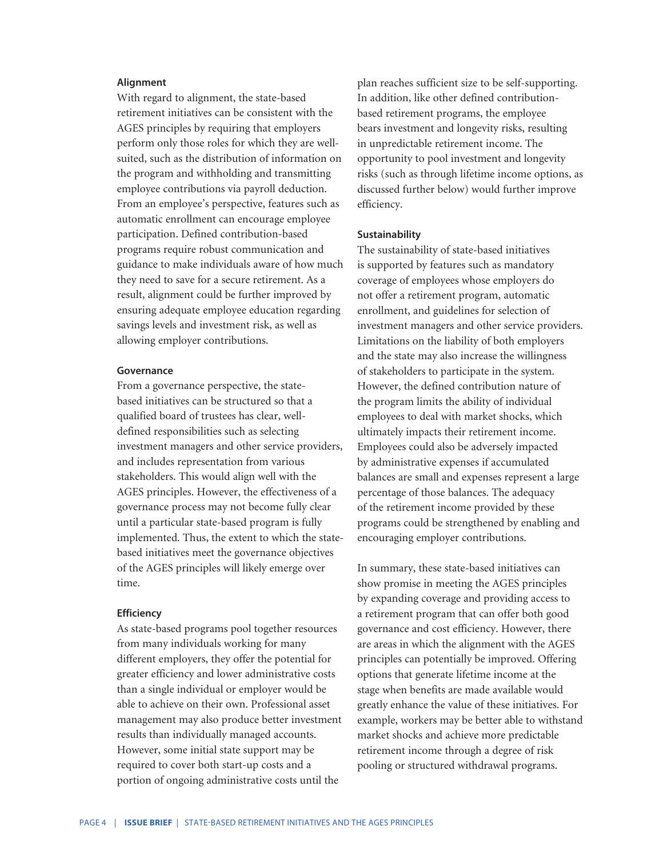#### **Alignment**

With regard to alignment, the state-based retirement initiatives can be consistent with the AGES principles by requiring that employers perform only those roles for which they are wellsuited, such as the distribution of information on the program and withholding and transmitting employee contributions via payroll deduction. From an employee's perspective, features such as automatic enrollment can encourage employee participation. Defined contribution-based programs require robust communication and guidance to make individuals aware of how much they need to save for a secure retirement. As a result, alignment could be further improved by ensuring adequate employee education regarding savings levels and investment risk, as well as allowing employer contributions.

#### **Governance**

From a governance perspective, the statebased initiatives can be structured so that a qualified board of trustees has clear, welldefined responsibilities such as selecting investment managers and other service providers, and includes representation from various stakeholders. This would align well with the AGES principles. However, the effectiveness of a governance process may not become fully clear until a particular state-based program is fully implemented. Thus, the extent to which the statebased initiatives meet the governance objectives of the AGES principles will likely emerge over time.

#### **Efficiency**

As state-based programs pool together resources from many individuals working for many different employers, they offer the potential for greater efficiency and lower administrative costs than a single individual or employer would be able to achieve on their own. Professional asset management may also produce better investment results than individually managed accounts. However, some initial state support may be required to cover both start-up costs and a portion of ongoing administrative costs until the

plan reaches sufficient size to be self-supporting. In addition, like other defined contributionbased retirement programs, the employee bears investment and longevity risks, resulting in unpredictable retirement income. The opportunity to pool investment and longevity risks (such as through lifetime income options, as discussed further below) would further improve efficiency.

#### **Sustainability**

The sustainability of state-based initiatives is supported by features such as mandatory coverage of employees whose employers do not offer a retirement program, automatic enrollment, and guidelines for selection of investment managers and other service providers. Limitations on the liability of both employers and the state may also increase the willingness of stakeholders to participate in the system. However, the defined contribution nature of the program limits the ability of individual employees to deal with market shocks, which ultimately impacts their retirement income. Employees could also be adversely impacted by administrative expenses if accumulated balances are small and expenses represent a large percentage of those balances. The adequacy of the retirement income provided by these programs could be strengthened by enabling and encouraging employer contributions.

In summary, these state-based initiatives can show promise in meeting the AGES principles by expanding coverage and providing access to a retirement program that can offer both good governance and cost efficiency. However, there are areas in which the alignment with the AGES principles can potentially be improved. Offering options that generate lifetime income at the stage when benefits are made available would greatly enhance the value of these initiatives. For example, workers may be better able to withstand market shocks and achieve more predictable retirement income through a degree of risk pooling or structured withdrawal programs.